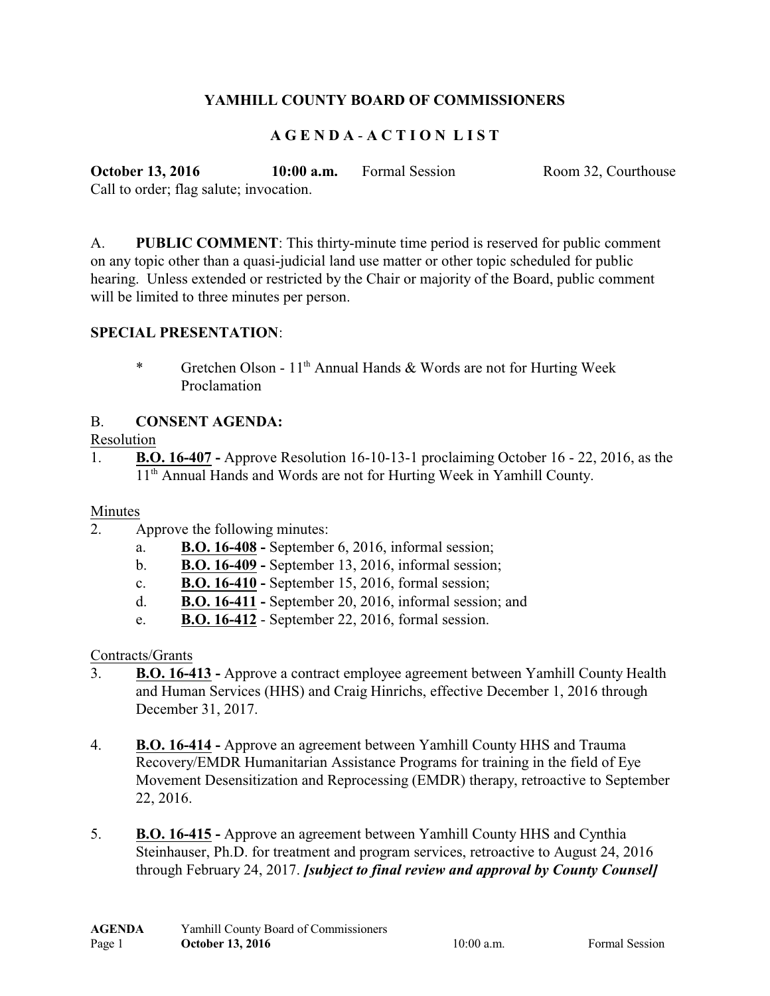# **YAMHILL COUNTY BOARD OF COMMISSIONERS**

# **A G E N D A** - **A C T I O N L I S T**

**October 13, 2016 10:00 a.m.** Formal Session Room 32, Courthouse Call to order; flag salute; invocation.

A. **PUBLIC COMMENT**: This thirty-minute time period is reserved for public comment on any topic other than a quasi-judicial land use matter or other topic scheduled for public hearing. Unless extended or restricted by the Chair or majority of the Board, public comment will be limited to three minutes per person.

## **SPECIAL PRESENTATION**:

\* Gretchen Olson - 11<sup>th</sup> Annual Hands & Words are not for Hurting Week Proclamation

## B. **CONSENT AGENDA:**

#### Resolution

1. **B.O. 16-407 -** Approve Resolution 16-10-13-1 proclaiming October 16 - 22, 2016, as the 11<sup>th</sup> Annual Hands and Words are not for Hurting Week in Yamhill County.

## Minutes

- 2. Approve the following minutes:
	- a. **B.O. 16-408** September 6, 2016, informal session;
	- b. **B.O. 16-409** September 13, 2016, informal session;
	- c. **B.O. 16-410** September 15, 2016, formal session;
	- d. **B.O. 16-411** September 20, 2016, informal session; and
	- e. **B.O. 16-412** September 22, 2016, formal session.

## Contracts/Grants

- 3. **B.O. 16-413** Approve a contract employee agreement between Yamhill County Health and Human Services (HHS) and Craig Hinrichs, effective December 1, 2016 through December 31, 2017.
- 4. **B.O. 16-414** Approve an agreement between Yamhill County HHS and Trauma Recovery/EMDR Humanitarian Assistance Programs for training in the field of Eye Movement Desensitization and Reprocessing (EMDR) therapy, retroactive to September 22, 2016.
- 5. **B.O. 16-415** Approve an agreement between Yamhill County HHS and Cynthia Steinhauser, Ph.D. for treatment and program services, retroactive to August 24, 2016 through February 24, 2017. *[subject to final review and approval by County Counsel]*